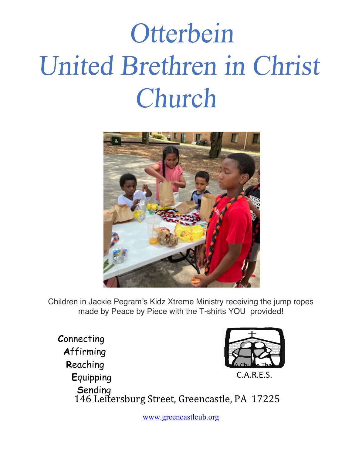# Otterbein United Brethren in Christ Church



Children in Jackie Pegram's Kidz Xtreme Ministry receiving the jump ropes made by Peace by Piece with the T-shirts YOU provided!

Connecting Affirming Reaching  $C.A.R.E.S.$ Equipping Sending 146 Leitersburg Street, Greencastle, PA 17225

www.greencastleub.org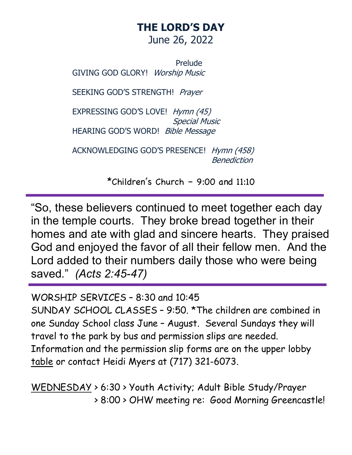### **THE LORD'S DAY** June 26, 2022

Prelude GIVING GOD GLORY! Worship Music

SEEKING GOD'S STRENGTH! Prayer

 EXPRESSING GOD'S LOVE! Hymn (45) Special Music HEARING GOD'S WORD! Bible Message

ACKNOWLEDGING GOD'S PRESENCE! Hymn (458) Benediction

\*Children's Church – 9:00 and 11:10

"So, these believers continued to meet together each day in the temple courts. They broke bread together in their homes and ate with glad and sincere hearts. They praised God and enjoyed the favor of all their fellow men. And the Lord added to their numbers daily those who were being saved." *(Acts 2:45-47)*

WORSHIP SERVICES – 8:30 and 10:45

SUNDAY SCHOOL CLASSES – 9:50. \*The children are combined in one Sunday School class June – August. Several Sundays they will travel to the park by bus and permission slips are needed. Information and the permission slip forms are on the upper lobby table or contact Heidi Myers at (717) 321-6073.

WEDNESDAY > 6:30 > Youth Activity; Adult Bible Study/Prayer > 8:00 > OHW meeting re: Good Morning Greencastle!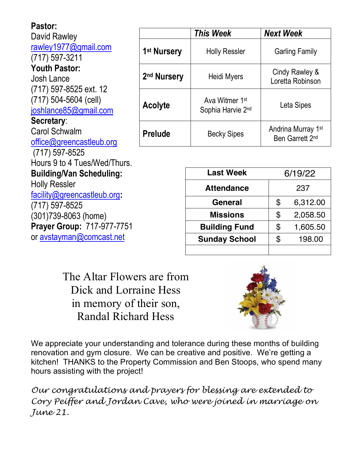| Pastor:                                                                                                                 |                         |                                                 |                                       |                       |
|-------------------------------------------------------------------------------------------------------------------------|-------------------------|-------------------------------------------------|---------------------------------------|-----------------------|
| David Rawley                                                                                                            |                         | <b>This Week</b>                                | <b>Next Week</b>                      |                       |
| rawley1977@gmail.com<br>$(717)$ 597-3211                                                                                | 1 <sup>st</sup> Nursery | <b>Holly Ressler</b>                            |                                       | <b>Garling Family</b> |
| <b>Youth Pastor:</b><br><b>Josh Lance</b><br>(717) 597-8525 ext. 12<br>$(717)$ 504-5604 (cell)<br>joshlance85@gmail.com | 2 <sup>nd</sup> Nursery | Heidi Myers                                     | Cindy Rawley &<br>Loretta Robinson    |                       |
|                                                                                                                         | Acolyte                 | Ava Witmer 1 <sup>st</sup><br>Sophia Harvie 2nd | Leta Sipes                            |                       |
| Secretary:                                                                                                              |                         |                                                 | Andrina Murray 1st<br>Ben Garrett 2nd |                       |
| <b>Carol Schwalm</b><br>office@greencastleub.org                                                                        | <b>Prelude</b>          | <b>Becky Sipes</b>                              |                                       |                       |
| $(717)$ 597-8525                                                                                                        |                         |                                                 |                                       |                       |
| Hours 9 to 4 Tues/Wed/Thurs.                                                                                            |                         |                                                 |                                       |                       |
| <b>Building/Van Scheduling:</b>                                                                                         |                         | <b>Last Week</b><br>6/19/22                     |                                       |                       |
| <b>Holly Ressler</b>                                                                                                    |                         | <b>Attendance</b>                               |                                       | 237                   |
| facility@greencastleub.org:<br>$(717)$ 597-8525                                                                         |                         | General                                         | \$                                    | 6,312.00              |
| (301)739-8063 (home)                                                                                                    |                         | <b>Missions</b>                                 | \$                                    | 2,058.50              |
| Prayer Group: 717-977-7751                                                                                              |                         | <b>Building Fund</b>                            | \$                                    | 1,605.50              |
| or avstayman@comcast.net                                                                                                |                         | <b>Sunday School</b>                            | \$                                    | 198.00                |
|                                                                                                                         |                         |                                                 |                                       |                       |

The Altar Flowers are from Dick and Lorraine Hess in memory of their son, Randal Richard Hess



We appreciate your understanding and tolerance during these months of building renovation and gym closure. We can be creative and positive. We're getting a kitchen! THANKS to the Property Commission and Ben Stoops, who spend many hours assisting with the project!

*Our congratulations and prayers for blessing are extended to Cory Peiffer and Jordan Cave, who were joined in marriage on June 21.*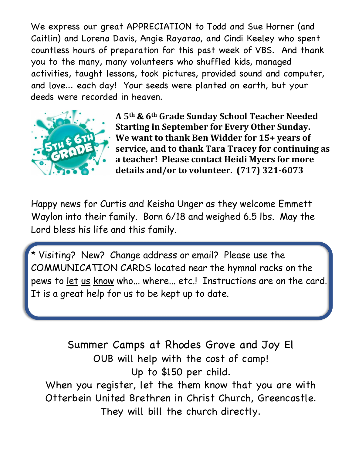We express our great APPRECIATION to Todd and Sue Horner (and Caitlin) and Lorena Davis, Angie Rayarao, and Cindi Keeley who spent countless hours of preparation for this past week of VBS. And thank you to the many, many volunteers who shuffled kids, managed activities, taught lessons, took pictures, provided sound and computer, and love... each day! Your seeds were planted on earth, but your deeds were recorded in heaven.



**A 5th & 6th Grade Sunday School Teacher Needed Starting in September for Every Other Sunday.** We want to thank Ben Widder for 15+ years of **service, and to thank Tara Tracey for continuing as** a teacher! Please contact Heidi Myers for more details and/or to volunteer. (717) 321-6073

Happy news for Curtis and Keisha Unger as they welcome Emmett Waylon into their family. Born 6/18 and weighed 6.5 lbs. May the Lord bless his life and this family.

\* Visiting? New? Change address or email? Please use the COMMUNICATION CARDS located near the hymnal racks on the pews to let us know who... where... etc.! Instructions are on the card. It is a great help for us to be kept up to date.

Summer Camps at Rhodes Grove and Joy El OUB will help with the cost of camp! Up to \$150 per child. When you register, let the them know that you are with Otterbein United Brethren in Christ Church, Greencastle. They will bill the church directly.